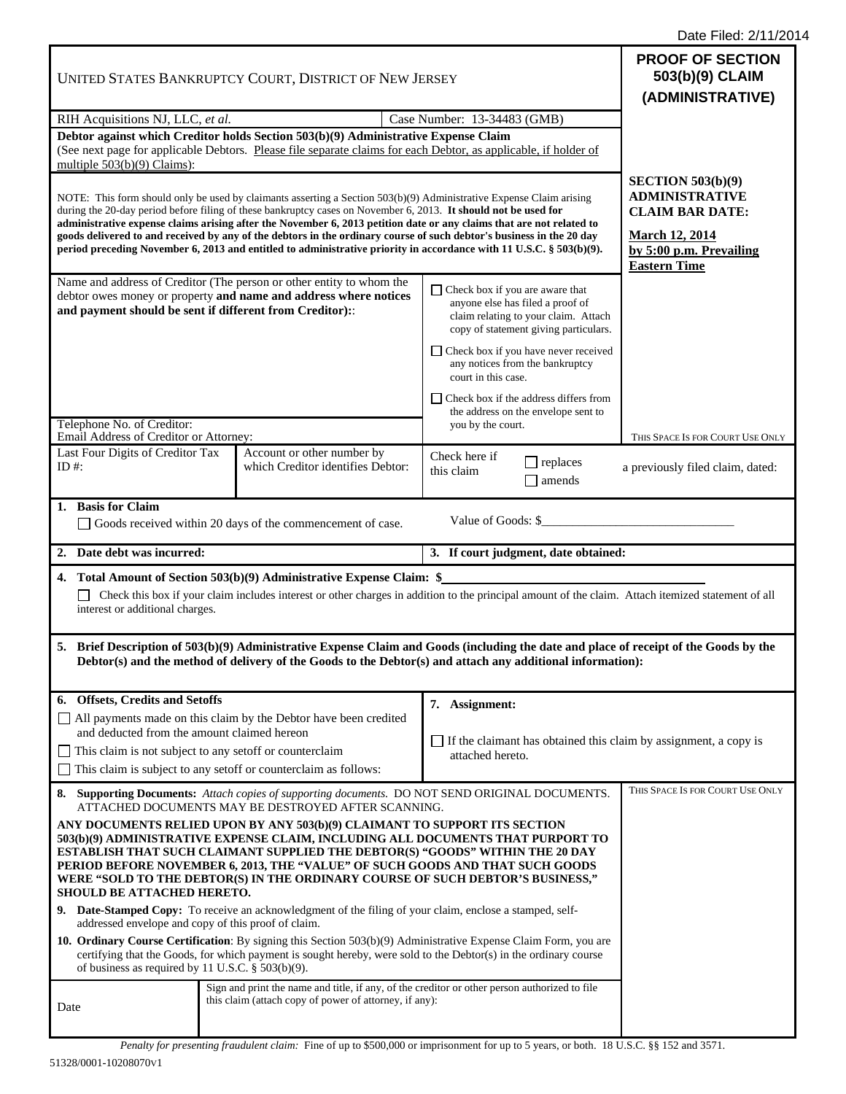Date Filed: 2/11/2014

| UNITED STATES BANKRUPTCY COURT, DISTRICT OF NEW JERSEY                                                                                                                                                                                 |  |                                                                                                                                                                                                                                                                                                         |                                                                                                                                                                                                                                                                                                                                                                                                                                                                                                                                                                                                                                                                                                                                                                                | <b>PROOF OF SECTION</b><br>503(b)(9) CLAIM<br>(ADMINISTRATIVE)                                                                                    |
|----------------------------------------------------------------------------------------------------------------------------------------------------------------------------------------------------------------------------------------|--|---------------------------------------------------------------------------------------------------------------------------------------------------------------------------------------------------------------------------------------------------------------------------------------------------------|--------------------------------------------------------------------------------------------------------------------------------------------------------------------------------------------------------------------------------------------------------------------------------------------------------------------------------------------------------------------------------------------------------------------------------------------------------------------------------------------------------------------------------------------------------------------------------------------------------------------------------------------------------------------------------------------------------------------------------------------------------------------------------|---------------------------------------------------------------------------------------------------------------------------------------------------|
| RIH Acquisitions NJ, LLC, et al.                                                                                                                                                                                                       |  | Case Number: 13-34483 (GMB)                                                                                                                                                                                                                                                                             |                                                                                                                                                                                                                                                                                                                                                                                                                                                                                                                                                                                                                                                                                                                                                                                |                                                                                                                                                   |
| Debtor against which Creditor holds Section 503(b)(9) Administrative Expense Claim<br>(See next page for applicable Debtors. Please file separate claims for each Debtor, as applicable, if holder of<br>multiple $503(b)(9)$ Claims): |  |                                                                                                                                                                                                                                                                                                         |                                                                                                                                                                                                                                                                                                                                                                                                                                                                                                                                                                                                                                                                                                                                                                                |                                                                                                                                                   |
|                                                                                                                                                                                                                                        |  | during the 20-day period before filing of these bankruptcy cases on November 6, 2013. It should not be used for                                                                                                                                                                                         | NOTE: This form should only be used by claimants asserting a Section 503(b)(9) Administrative Expense Claim arising<br>administrative expense claims arising after the November 6, 2013 petition date or any claims that are not related to<br>goods delivered to and received by any of the debtors in the ordinary course of such debtor's business in the 20 day<br>period preceding November 6, 2013 and entitled to administrative priority in accordance with 11 U.S.C. § 503(b)(9).                                                                                                                                                                                                                                                                                     | SECTION $503(b)(9)$<br><b>ADMINISTRATIVE</b><br><b>CLAIM BAR DATE:</b><br><b>March 12, 2014</b><br>by 5:00 p.m. Prevailing<br><b>Eastern Time</b> |
| Name and address of Creditor (The person or other entity to whom the<br>debtor owes money or property and name and address where notices<br>and payment should be sent if different from Creditor)::<br>Telephone No. of Creditor:     |  |                                                                                                                                                                                                                                                                                                         | $\Box$ Check box if you are aware that<br>anyone else has filed a proof of<br>claim relating to your claim. Attach<br>copy of statement giving particulars.                                                                                                                                                                                                                                                                                                                                                                                                                                                                                                                                                                                                                    |                                                                                                                                                   |
|                                                                                                                                                                                                                                        |  |                                                                                                                                                                                                                                                                                                         | $\Box$ Check box if you have never received<br>any notices from the bankruptcy<br>court in this case.                                                                                                                                                                                                                                                                                                                                                                                                                                                                                                                                                                                                                                                                          |                                                                                                                                                   |
|                                                                                                                                                                                                                                        |  |                                                                                                                                                                                                                                                                                                         | $\Box$ Check box if the address differs from<br>the address on the envelope sent to<br>you by the court.                                                                                                                                                                                                                                                                                                                                                                                                                                                                                                                                                                                                                                                                       |                                                                                                                                                   |
| Email Address of Creditor or Attorney:<br>Last Four Digits of Creditor Tax<br>ID #:                                                                                                                                                    |  | Account or other number by<br>which Creditor identifies Debtor:                                                                                                                                                                                                                                         | Check here if<br>$\Box$ replaces<br>this claim<br>amends                                                                                                                                                                                                                                                                                                                                                                                                                                                                                                                                                                                                                                                                                                                       | THIS SPACE IS FOR COURT USE ONLY<br>a previously filed claim, dated:                                                                              |
| 1. Basis for Claim                                                                                                                                                                                                                     |  | Goods received within 20 days of the commencement of case.                                                                                                                                                                                                                                              | Value of Goods: \$                                                                                                                                                                                                                                                                                                                                                                                                                                                                                                                                                                                                                                                                                                                                                             |                                                                                                                                                   |
| 2. Date debt was incurred:<br>3. If court judgment, date obtained:                                                                                                                                                                     |  |                                                                                                                                                                                                                                                                                                         |                                                                                                                                                                                                                                                                                                                                                                                                                                                                                                                                                                                                                                                                                                                                                                                |                                                                                                                                                   |
| interest or additional charges.                                                                                                                                                                                                        |  | 4. Total Amount of Section 503(b)(9) Administrative Expense Claim: \$                                                                                                                                                                                                                                   | Check this box if your claim includes interest or other charges in addition to the principal amount of the claim. Attach itemized statement of all                                                                                                                                                                                                                                                                                                                                                                                                                                                                                                                                                                                                                             |                                                                                                                                                   |
|                                                                                                                                                                                                                                        |  |                                                                                                                                                                                                                                                                                                         | 5. Brief Description of 503(b)(9) Administrative Expense Claim and Goods (including the date and place of receipt of the Goods by the<br>Debtor(s) and the method of delivery of the Goods to the Debtor(s) and attach any additional information):                                                                                                                                                                                                                                                                                                                                                                                                                                                                                                                            |                                                                                                                                                   |
| 6. Offsets, Credits and Setoffs                                                                                                                                                                                                        |  |                                                                                                                                                                                                                                                                                                         |                                                                                                                                                                                                                                                                                                                                                                                                                                                                                                                                                                                                                                                                                                                                                                                |                                                                                                                                                   |
| and deducted from the amount claimed hereon<br>This claim is not subject to any set off or counterclaim                                                                                                                                |  | All payments made on this claim by the Debtor have been credited<br>This claim is subject to any setoff or counterclaim as follows:                                                                                                                                                                     | 7. Assignment:<br>If the claimant has obtained this claim by assignment, a copy is<br>attached hereto.                                                                                                                                                                                                                                                                                                                                                                                                                                                                                                                                                                                                                                                                         |                                                                                                                                                   |
| SHOULD BE ATTACHED HERETO.<br>addressed envelope and copy of this proof of claim.<br>of business as required by 11 U.S.C. $\S$ 503(b)(9).                                                                                              |  | ATTACHED DOCUMENTS MAY BE DESTROYED AFTER SCANNING.<br>ANY DOCUMENTS RELIED UPON BY ANY 503(b)(9) CLAIMANT TO SUPPORT ITS SECTION<br>9. Date-Stamped Copy: To receive an acknowledgment of the filing of your claim, enclose a stamped, self-<br>this claim (attach copy of power of attorney, if any): | 8. Supporting Documents: Attach copies of supporting documents. DO NOT SEND ORIGINAL DOCUMENTS.<br>503(b)(9) ADMINISTRATIVE EXPENSE CLAIM, INCLUDING ALL DOCUMENTS THAT PURPORT TO<br>ESTABLISH THAT SUCH CLAIMANT SUPPLIED THE DEBTOR(S) "GOODS" WITHIN THE 20 DAY<br>PERIOD BEFORE NOVEMBER 6, 2013, THE "VALUE" OF SUCH GOODS AND THAT SUCH GOODS<br>WERE "SOLD TO THE DEBTOR(S) IN THE ORDINARY COURSE OF SUCH DEBTOR'S BUSINESS,"<br>10. Ordinary Course Certification: By signing this Section 503(b)(9) Administrative Expense Claim Form, you are<br>certifying that the Goods, for which payment is sought hereby, were sold to the Debtor(s) in the ordinary course<br>Sign and print the name and title, if any, of the creditor or other person authorized to file | THIS SPACE IS FOR COURT USE ONLY                                                                                                                  |